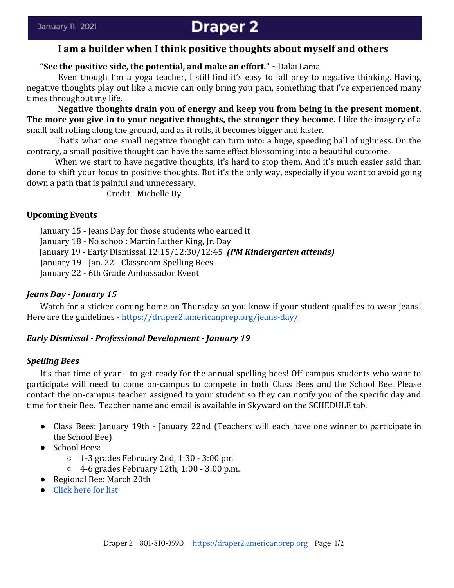# **Draper 2**

# **I am a builder when I think positive thoughts about myself and others**

# **"See the positive side, the potential, and make an effort."** ~Dalai Lama

Even though I'm a yoga teacher, I still find it's easy to fall prey to negative thinking. Having negative thoughts play out like a movie can only bring you pain, something that I've experienced many times throughout my life.

**Negative thoughts drain you of energy and keep you from being in the present moment. The more you give in to your negative thoughts, the stronger they become.** I like the imagery of a small ball rolling along the ground, and as it rolls, it becomes bigger and faster.

That's what one small negative thought can turn into: a huge, speeding ball of ugliness. On the contrary, a small positive thought can have the same effect blossoming into a beautiful outcome.

When we start to have negative thoughts, it's hard to stop them. And it's much easier said than done to shift your focus to positive thoughts. But it's the only way, especially if you want to avoid going down a path that is painful and unnecessary.

Credit - Michelle Uy

#### **Upcoming Events**

January 15 - Jeans Day for those students who earned it

January 18 - No school: Martin Luther King, Jr. Day

January 19 - Early Dismissal 12:15/12:30/12:45 *(PM Kindergarten attends)*

January 19 - Jan. 22 - Classroom Spelling Bees

January 22 - 6th Grade Ambassador Event

## *Jeans Day - January 15*

Watch for a sticker coming home on Thursday so you know if your student qualifies to wear jeans! Here are the guidelines - <https://draper2.americanprep.org/jeans-day/>

#### *Early Dismissal - Professional Development - January 19*

#### *Spelling Bees*

It's that time of year - to get ready for the annual spelling bees! Off-campus students who want to participate will need to come on-campus to compete in both Class Bees and the School Bee. Please contact the on-campus teacher assigned to your student so they can notify you of the specific day and time for their Bee. Teacher name and email is available in Skyward on the SCHEDULE tab.

- Class Bees: January 19th January 22nd (Teachers will each have one winner to participate in the School Bee)
- School Bees:
	- $\circ$  1-3 grades February 2nd, 1:30 3:00 pm
	- 4-6 grades February 12th, 1:00 3:00 p.m.
- Regional Bee: March 20th
- **[Click here for list](https://draper2.americanprep.org/wp-content/uploads/sites/3/2020/12/School-Spelling-Bee-Study-List-2020-21.pdf)**